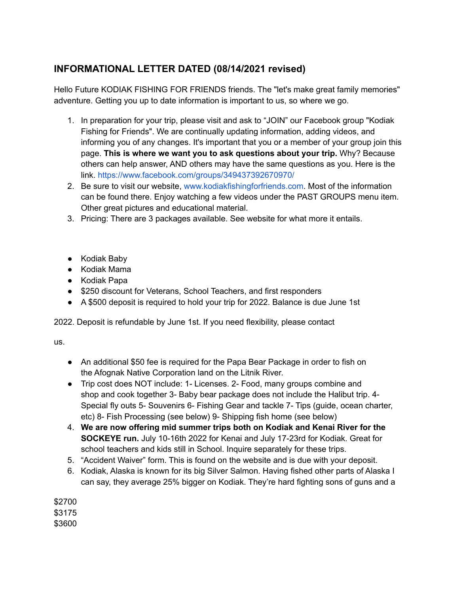## **INFORMATIONAL LETTER DATED (08/14/2021 revised)**

Hello Future KODIAK FISHING FOR FRIENDS friends. The "let's make great family memories" adventure. Getting you up to date information is important to us, so where we go.

- 1. In preparation for your trip, please visit and ask to "JOIN" our Facebook group "Kodiak Fishing for Friends". We are continually updating information, adding videos, and informing you of any changes. It's important that you or a member of your group join this page. **This is where we want you to ask questions about your trip.** Why? Because others can help answer, AND others may have the same questions as you. Here is the link. https://www.facebook.com/groups/349437392670970/
- 2. Be sure to visit our website, www.kodiakfishingforfriends.com. Most of the information can be found there. Enjoy watching a few videos under the PAST GROUPS menu item. Other great pictures and educational material.
- 3. Pricing: There are 3 packages available. See website for what more it entails.
- Kodiak Baby
- Kodiak Mama
- Kodiak Papa
- \$250 discount for Veterans, School Teachers, and first responders
- A \$500 deposit is required to hold your trip for 2022. Balance is due June 1st

2022. Deposit is refundable by June 1st. If you need flexibility, please contact

us.

- An additional \$50 fee is required for the Papa Bear Package in order to fish on the Afognak Native Corporation land on the Litnik River.
- Trip cost does NOT include: 1- Licenses. 2- Food, many groups combine and shop and cook together 3- Baby bear package does not include the Halibut trip. 4- Special fly outs 5- Souvenirs 6- Fishing Gear and tackle 7- Tips (guide, ocean charter, etc) 8- Fish Processing (see below) 9- Shipping fish home (see below)
- 4. **We are now offering mid summer trips both on Kodiak and Kenai River for the SOCKEYE run.** July 10-16th 2022 for Kenai and July 17-23rd for Kodiak. Great for school teachers and kids still in School. Inquire separately for these trips.
- 5. "Accident Waiver" form. This is found on the website and is due with your deposit.
- 6. Kodiak, Alaska is known for its big Silver Salmon. Having fished other parts of Alaska I can say, they average 25% bigger on Kodiak. They're hard fighting sons of guns and a

\$2700 \$3175 \$3600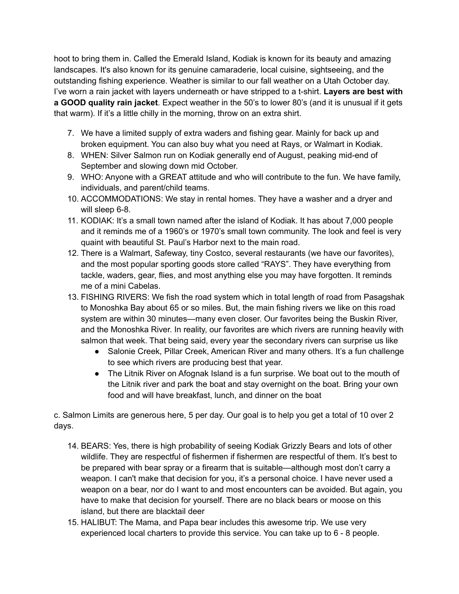hoot to bring them in. Called the Emerald Island, Kodiak is known for its beauty and amazing landscapes. It's also known for its genuine camaraderie, local cuisine, sightseeing, and the outstanding fishing experience. Weather is similar to our fall weather on a Utah October day. I've worn a rain jacket with layers underneath or have stripped to a t-shirt. **Layers are best with a GOOD quality rain jacket**. Expect weather in the 50's to lower 80's (and it is unusual if it gets that warm). If it's a little chilly in the morning, throw on an extra shirt.

- 7. We have a limited supply of extra waders and fishing gear. Mainly for back up and broken equipment. You can also buy what you need at Rays, or Walmart in Kodiak.
- 8. WHEN: Silver Salmon run on Kodiak generally end of August, peaking mid-end of September and slowing down mid October.
- 9. WHO: Anyone with a GREAT attitude and who will contribute to the fun. We have family, individuals, and parent/child teams.
- 10. ACCOMMODATIONS: We stay in rental homes. They have a washer and a dryer and will sleep 6-8.
- 11. KODIAK: It's a small town named after the island of Kodiak. It has about 7,000 people and it reminds me of a 1960's or 1970's small town community. The look and feel is very quaint with beautiful St. Paul's Harbor next to the main road.
- 12. There is a Walmart, Safeway, tiny Costco, several restaurants (we have our favorites), and the most popular sporting goods store called "RAYS". They have everything from tackle, waders, gear, flies, and most anything else you may have forgotten. It reminds me of a mini Cabelas.
- 13. FISHING RIVERS: We fish the road system which in total length of road from Pasagshak to Monoshka Bay about 65 or so miles. But, the main fishing rivers we like on this road system are within 30 minutes—many even closer. Our favorites being the Buskin River, and the Monoshka River. In reality, our favorites are which rivers are running heavily with salmon that week. That being said, every year the secondary rivers can surprise us like
	- Salonie Creek, Pillar Creek, American River and many others. It's a fun challenge to see which rivers are producing best that year.
	- The Litnik River on Afognak Island is a fun surprise. We boat out to the mouth of the Litnik river and park the boat and stay overnight on the boat. Bring your own food and will have breakfast, lunch, and dinner on the boat

c. Salmon Limits are generous here, 5 per day. Our goal is to help you get a total of 10 over 2 days.

- 14. BEARS: Yes, there is high probability of seeing Kodiak Grizzly Bears and lots of other wildlife. They are respectful of fishermen if fishermen are respectful of them. It's best to be prepared with bear spray or a firearm that is suitable—although most don't carry a weapon. I can't make that decision for you, it's a personal choice. I have never used a weapon on a bear, nor do I want to and most encounters can be avoided. But again, you have to make that decision for yourself. There are no black bears or moose on this island, but there are blacktail deer
- 15. HALIBUT: The Mama, and Papa bear includes this awesome trip. We use very experienced local charters to provide this service. You can take up to 6 - 8 people.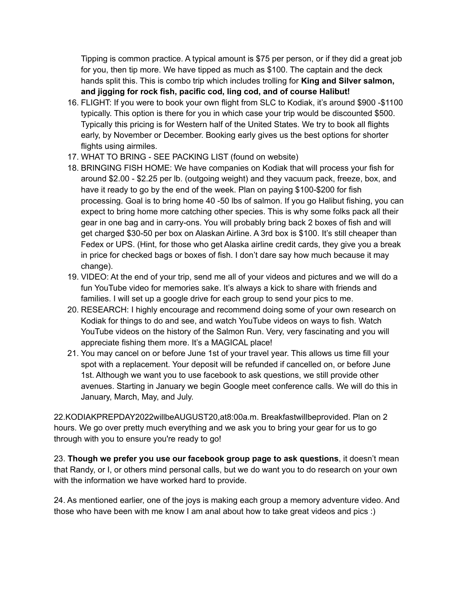Tipping is common practice. A typical amount is \$75 per person, or if they did a great job for you, then tip more. We have tipped as much as \$100. The captain and the deck hands split this. This is combo trip which includes trolling for **King and Silver salmon, and jigging for rock fish, pacific cod, ling cod, and of course Halibut!**

- 16. FLIGHT: If you were to book your own flight from SLC to Kodiak, it's around \$900 -\$1100 typically. This option is there for you in which case your trip would be discounted \$500. Typically this pricing is for Western half of the United States. We try to book all flights early, by November or December. Booking early gives us the best options for shorter flights using airmiles.
- 17. WHAT TO BRING SEE PACKING LIST (found on website)
- 18. BRINGING FISH HOME: We have companies on Kodiak that will process your fish for around \$2.00 - \$2.25 per lb. (outgoing weight) and they vacuum pack, freeze, box, and have it ready to go by the end of the week. Plan on paying \$100-\$200 for fish processing. Goal is to bring home 40 -50 lbs of salmon. If you go Halibut fishing, you can expect to bring home more catching other species. This is why some folks pack all their gear in one bag and in carry-ons. You will probably bring back 2 boxes of fish and will get charged \$30-50 per box on Alaskan Airline. A 3rd box is \$100. It's still cheaper than Fedex or UPS. (Hint, for those who get Alaska airline credit cards, they give you a break in price for checked bags or boxes of fish. I don't dare say how much because it may change).
- 19. VIDEO: At the end of your trip, send me all of your videos and pictures and we will do a fun YouTube video for memories sake. It's always a kick to share with friends and families. I will set up a google drive for each group to send your pics to me.
- 20. RESEARCH: I highly encourage and recommend doing some of your own research on Kodiak for things to do and see, and watch YouTube videos on ways to fish. Watch YouTube videos on the history of the Salmon Run. Very, very fascinating and you will appreciate fishing them more. It's a MAGICAL place!
- 21. You may cancel on or before June 1st of your travel year. This allows us time fill your spot with a replacement. Your deposit will be refunded if cancelled on, or before June 1st. Although we want you to use facebook to ask questions, we still provide other avenues. Starting in January we begin Google meet conference calls. We will do this in January, March, May, and July.

22.KODIAKPREPDAY2022willbeAUGUST20,at8:00a.m. Breakfastwillbeprovided. Plan on 2 hours. We go over pretty much everything and we ask you to bring your gear for us to go through with you to ensure you're ready to go!

23. **Though we prefer you use our facebook group page to ask questions**, it doesn't mean that Randy, or I, or others mind personal calls, but we do want you to do research on your own with the information we have worked hard to provide.

24. As mentioned earlier, one of the joys is making each group a memory adventure video. And those who have been with me know I am anal about how to take great videos and pics :)